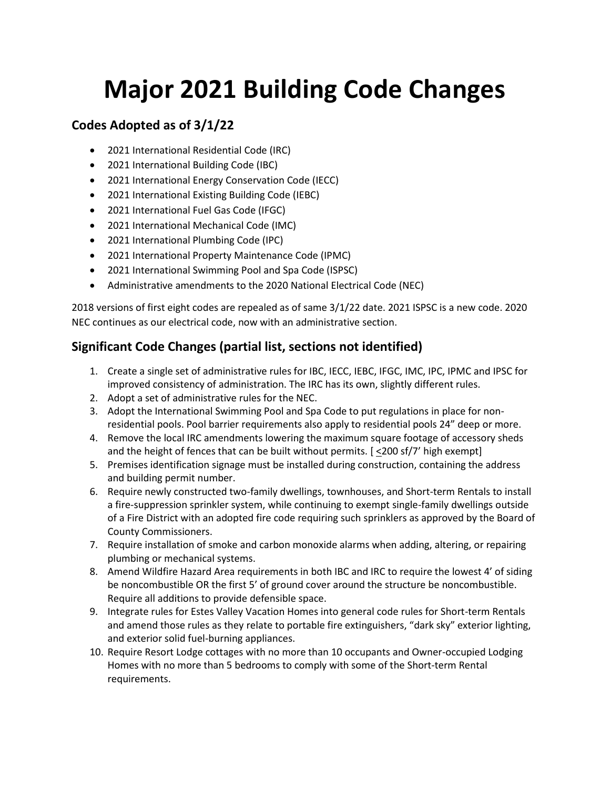## **Major 2021 Building Code Changes**

## **Codes Adopted as of 3/1/22**

- 2021 International Residential Code (IRC)
- 2021 International Building Code (IBC)
- 2021 International Energy Conservation Code (IECC)
- 2021 International Existing Building Code (IEBC)
- 2021 International Fuel Gas Code (IFGC)
- 2021 International Mechanical Code (IMC)
- 2021 International Plumbing Code (IPC)
- 2021 International Property Maintenance Code (IPMC)
- 2021 International Swimming Pool and Spa Code (ISPSC)
- Administrative amendments to the 2020 National Electrical Code (NEC)

2018 versions of first eight codes are repealed as of same 3/1/22 date. 2021 ISPSC is a new code. 2020 NEC continues as our electrical code, now with an administrative section.

## **Significant Code Changes (partial list, sections not identified)**

- 1. Create a single set of administrative rules for IBC, IECC, IEBC, IFGC, IMC, IPC, IPMC and IPSC for improved consistency of administration. The IRC has its own, slightly different rules.
- 2. Adopt a set of administrative rules for the NEC.
- 3. Adopt the International Swimming Pool and Spa Code to put regulations in place for nonresidential pools. Pool barrier requirements also apply to residential pools 24" deep or more.
- 4. Remove the local IRC amendments lowering the maximum square footage of accessory sheds and the height of fences that can be built without permits. [ <200 sf/7' high exempt]
- 5. Premises identification signage must be installed during construction, containing the address and building permit number.
- 6. Require newly constructed two-family dwellings, townhouses, and Short-term Rentals to install a fire-suppression sprinkler system, while continuing to exempt single-family dwellings outside of a Fire District with an adopted fire code requiring such sprinklers as approved by the Board of County Commissioners.
- 7. Require installation of smoke and carbon monoxide alarms when adding, altering, or repairing plumbing or mechanical systems.
- 8. Amend Wildfire Hazard Area requirements in both IBC and IRC to require the lowest 4' of siding be noncombustible OR the first 5' of ground cover around the structure be noncombustible. Require all additions to provide defensible space.
- 9. Integrate rules for Estes Valley Vacation Homes into general code rules for Short-term Rentals and amend those rules as they relate to portable fire extinguishers, "dark sky" exterior lighting, and exterior solid fuel-burning appliances.
- 10. Require Resort Lodge cottages with no more than 10 occupants and Owner-occupied Lodging Homes with no more than 5 bedrooms to comply with some of the Short-term Rental requirements.